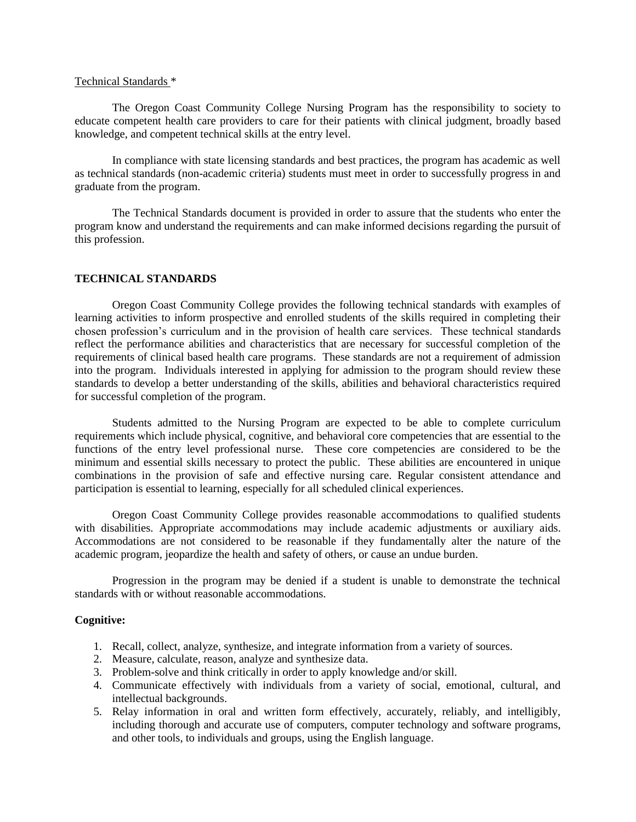#### Technical Standards \*

The Oregon Coast Community College Nursing Program has the responsibility to society to educate competent health care providers to care for their patients with clinical judgment, broadly based knowledge, and competent technical skills at the entry level.

In compliance with state licensing standards and best practices, the program has academic as well as technical standards (non-academic criteria) students must meet in order to successfully progress in and graduate from the program.

The Technical Standards document is provided in order to assure that the students who enter the program know and understand the requirements and can make informed decisions regarding the pursuit of this profession.

### **TECHNICAL STANDARDS**

Oregon Coast Community College provides the following technical standards with examples of learning activities to inform prospective and enrolled students of the skills required in completing their chosen profession's curriculum and in the provision of health care services. These technical standards reflect the performance abilities and characteristics that are necessary for successful completion of the requirements of clinical based health care programs. These standards are not a requirement of admission into the program. Individuals interested in applying for admission to the program should review these standards to develop a better understanding of the skills, abilities and behavioral characteristics required for successful completion of the program.

Students admitted to the Nursing Program are expected to be able to complete curriculum requirements which include physical, cognitive, and behavioral core competencies that are essential to the functions of the entry level professional nurse. These core competencies are considered to be the minimum and essential skills necessary to protect the public. These abilities are encountered in unique combinations in the provision of safe and effective nursing care. Regular consistent attendance and participation is essential to learning, especially for all scheduled clinical experiences.

Oregon Coast Community College provides reasonable accommodations to qualified students with disabilities. Appropriate accommodations may include academic adjustments or auxiliary aids. Accommodations are not considered to be reasonable if they fundamentally alter the nature of the academic program, jeopardize the health and safety of others, or cause an undue burden.

Progression in the program may be denied if a student is unable to demonstrate the technical standards with or without reasonable accommodations.

### **Cognitive:**

- 1. Recall, collect, analyze, synthesize, and integrate information from a variety of sources.
- 2. Measure, calculate, reason, analyze and synthesize data.
- 3. Problem-solve and think critically in order to apply knowledge and/or skill.
- 4. Communicate effectively with individuals from a variety of social, emotional, cultural, and intellectual backgrounds.
- 5. Relay information in oral and written form effectively, accurately, reliably, and intelligibly, including thorough and accurate use of computers, computer technology and software programs, and other tools, to individuals and groups, using the English language.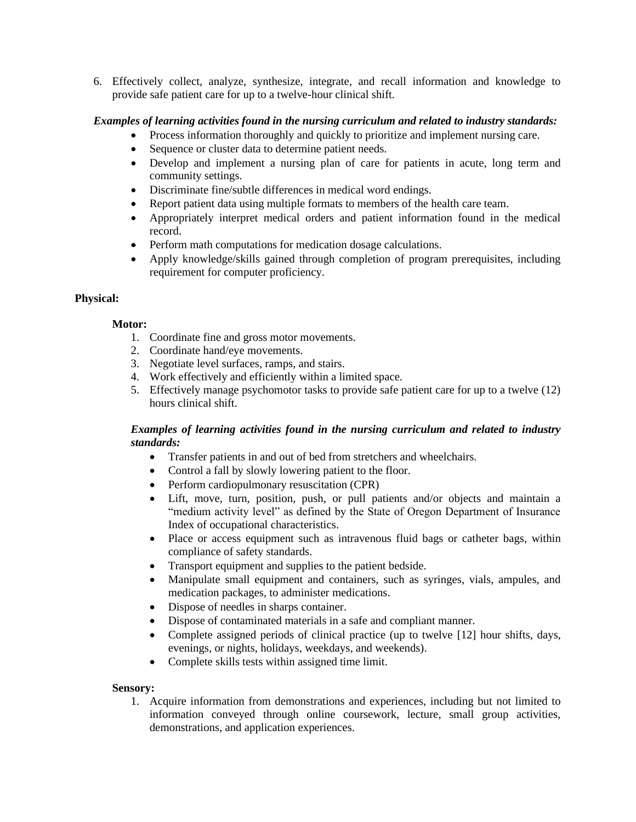6. Effectively collect, analyze, synthesize, integrate, and recall information and knowledge to provide safe patient care for up to a twelve-hour clinical shift.

# *Examples of learning activities found in the nursing curriculum and related to industry standards:*

- Process information thoroughly and quickly to prioritize and implement nursing care.
- Sequence or cluster data to determine patient needs.
- Develop and implement a nursing plan of care for patients in acute, long term and community settings.
- Discriminate fine/subtle differences in medical word endings.
- Report patient data using multiple formats to members of the health care team.
- Appropriately interpret medical orders and patient information found in the medical record.
- Perform math computations for medication dosage calculations.
- Apply knowledge/skills gained through completion of program prerequisites, including requirement for computer proficiency.

# **Physical:**

# **Motor:**

- 1. Coordinate fine and gross motor movements.
- 2. Coordinate hand/eye movements.
- 3. Negotiate level surfaces, ramps, and stairs.
- 4. Work effectively and efficiently within a limited space.
- 5. Effectively manage psychomotor tasks to provide safe patient care for up to a twelve (12) hours clinical shift.

## *Examples of learning activities found in the nursing curriculum and related to industry standards:*

- Transfer patients in and out of bed from stretchers and wheelchairs.
- Control a fall by slowly lowering patient to the floor.
- Perform cardiopulmonary resuscitation (CPR)
- Lift, move, turn, position, push, or pull patients and/or objects and maintain a "medium activity level" as defined by the State of Oregon Department of Insurance Index of occupational characteristics.
- Place or access equipment such as intravenous fluid bags or catheter bags, within compliance of safety standards.
- Transport equipment and supplies to the patient bedside.
- Manipulate small equipment and containers, such as syringes, vials, ampules, and medication packages, to administer medications.
- Dispose of needles in sharps container.
- Dispose of contaminated materials in a safe and compliant manner.
- Complete assigned periods of clinical practice (up to twelve [12] hour shifts, days, evenings, or nights, holidays, weekdays, and weekends).
- Complete skills tests within assigned time limit.

### **Sensory:**

1. Acquire information from demonstrations and experiences, including but not limited to information conveyed through online coursework, lecture, small group activities, demonstrations, and application experiences.